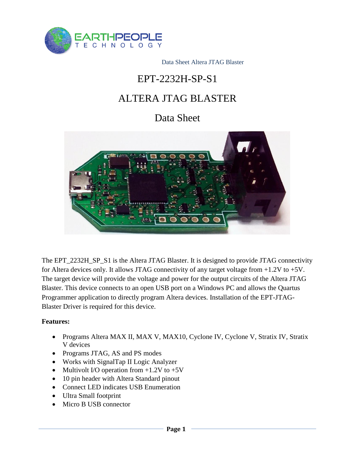

## EPT-2232H-SP-S1

# ALTERA JTAG BLASTER

## Data Sheet



The EPT\_2232H\_SP\_S1 is the Altera JTAG Blaster. It is designed to provide JTAG connectivity for Altera devices only. It allows JTAG connectivity of any target voltage from  $+1.2V$  to  $+5V$ . The target device will provide the voltage and power for the output circuits of the Altera JTAG Blaster. This device connects to an open USB port on a Windows PC and allows the Quartus Programmer application to directly program Altera devices. Installation of the EPT-JTAG-Blaster Driver is required for this device.

#### **Features:**

- Programs Altera MAX II, MAX V, MAX10, Cyclone IV, Cyclone V, Stratix IV, Stratix V devices
- Programs JTAG, AS and PS modes
- Works with SignalTap II Logic Analyzer
- Multivolt I/O operation from  $+1.2V$  to  $+5V$
- 10 pin header with Altera Standard pinout
- Connect LED indicates USB Enumeration
- Ultra Small footprint
- Micro B USB connector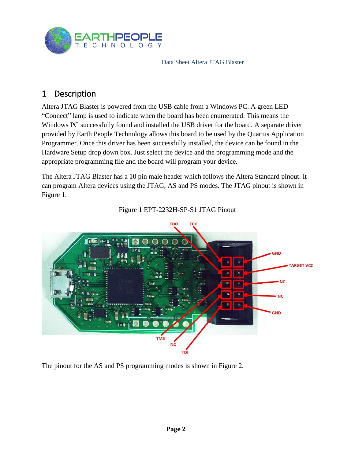

### 1 Description

Altera JTAG Blaster is powered from the USB cable from a Windows PC. A green LED "Connect" lamp is used to indicate when the board has been enumerated. This means the Windows PC successfully found and installed the USB driver for the board. A separate driver provided by Earth People Technology allows this board to be used by the Quartus Application Programmer. Once this driver has been successfully installed, the device can be found in the Hardware Setup drop down box. Just select the device and the programming mode and the appropriate programming file and the board will program your device.

The Altera JTAG Blaster has a 10 pin male header which follows the Altera Standard pinout. It can program Altera devices using the JTAG, AS and PS modes. The JTAG pinout is shown in Figure 1.



Figure 1 EPT-2232H-SP-S1 JTAG Pinout

The pinout for the AS and PS programming modes is shown in Figure 2.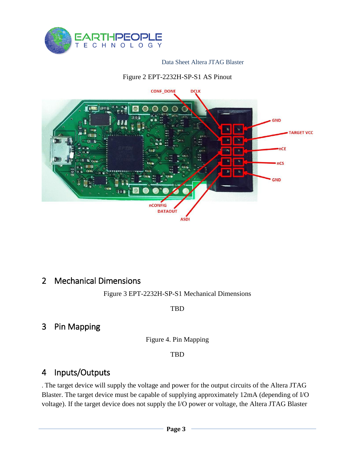

#### Figure 2 EPT-2232H-SP-S1 AS Pinout



### 2 Mechanical Dimensions

Figure 3 EPT-2232H-SP-S1 Mechanical Dimensions

**TBD** 

### 3 Pin Mapping

Figure 4. Pin Mapping

TBD

### 4 Inputs/Outputs

. The target device will supply the voltage and power for the output circuits of the Altera JTAG Blaster. The target device must be capable of supplying approximately 12mA (depending of I/O voltage). If the target device does not supply the I/O power or voltage, the Altera JTAG Blaster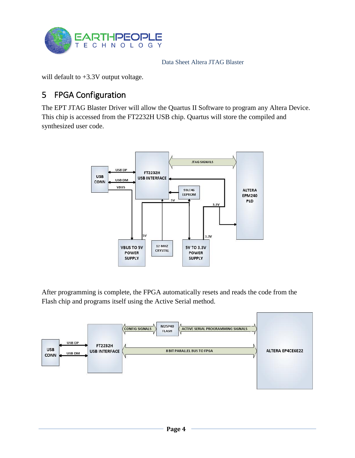

will default to  $+3.3V$  output voltage.

## 5 FPGA Configuration

The EPT JTAG Blaster Driver will allow the Quartus II Software to program any Altera Device. This chip is accessed from the FT2232H USB chip. Quartus will store the compiled and synthesized user code.



After programming is complete, the FPGA automatically resets and reads the code from the Flash chip and programs itself using the Active Serial method.

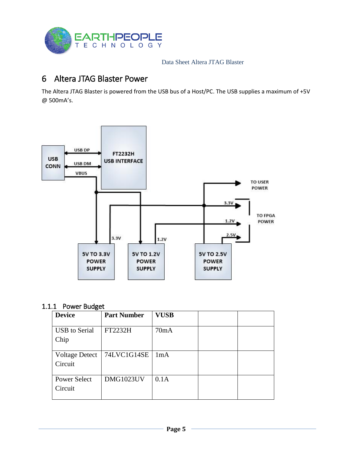

### 6 Altera JTAG Blaster Power

The Altera JTAG Blaster is powered from the USB bus of a Host/PC. The USB supplies a maximum of +5V @ 500mA's.



#### 1.1.1 Power Budget

| ັ<br><b>Device</b>               | <b>Part Number</b> | <b>VUSB</b> |  |
|----------------------------------|--------------------|-------------|--|
| <b>USB</b> to Serial<br>Chip     | FT2232H            | 70mA        |  |
| <b>Voltage Detect</b><br>Circuit | 74LVC1G14SE        | 1mA         |  |
| <b>Power Select</b><br>Circuit   | DMG1023UV          | 0.1A        |  |